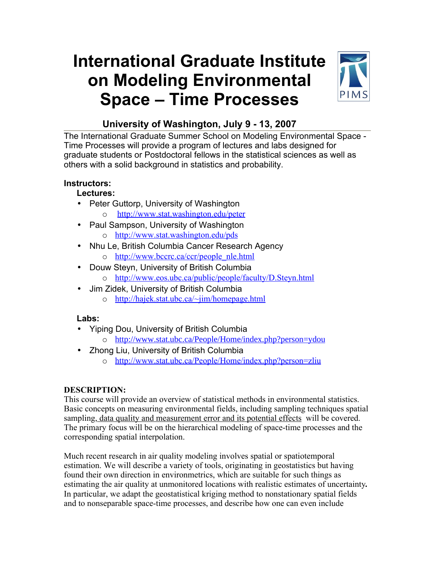# **International Graduate Institute on Modeling Environmental Space – Time Processes**



## **University of Washington, July 9 - 13, 2007**

The International Graduate Summer School on Modeling Environmental Space - Time Processes will provide a program of lectures and labs designed for graduate students or Postdoctoral fellows in the statistical sciences as well as others with a solid background in statistics and probability.

## **Instructors:**

## **Lectures:**

- Peter Guttorp, University of Washington
	- o <http://www.stat.washington.edu/peter>
- Paul Sampson, University of Washington o <http://www.stat.washington.edu/pds>
- Nhu Le, British Columbia Cancer Research Agency o [http://www.bccrc.ca/ccr/people\\_nle.html](http://www.bccrc.ca/ccr/people_nle.html)
- Douw Steyn, University of British Columbia
	- o <http://www.eos.ubc.ca/public/people/faculty/D.Steyn.html>
- Jim Zidek, University of British Columbia
	- o <http://hajek.stat.ubc.ca/~jim/homepage.html>

## **Labs:**

- Yiping Dou, University of British Columbia
	- o <http://www.stat.ubc.ca/People/Home/index.php?person=ydou>
- Zhong Liu, University of British Columbia
	- o <http://www.stat.ubc.ca/People/Home/index.php?person=zliu>

## **DESCRIPTION:**

This course will provide an overview of statistical methods in environmental statistics. Basic concepts on measuring environmental fields, including sampling techniques spatial sampling, data quality and measurement error and its potential effects will be covered. The primary focus will be on the hierarchical modeling of space-time processes and the corresponding spatial interpolation.

Much recent research in air quality modeling involves spatial or spatiotemporal estimation. We will describe a variety of tools, originating in geostatistics but having found their own direction in environmetrics, which are suitable for such things as estimating the air quality at unmonitored locations with realistic estimates of uncertainty*.* In particular, we adapt the geostatistical kriging method to nonstationary spatial fields and to nonseparable space-time processes, and describe how one can even include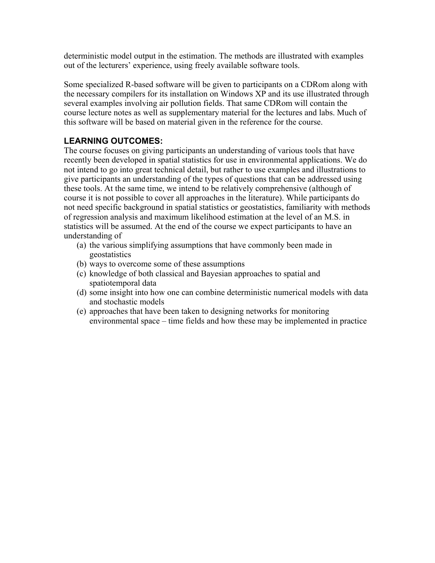deterministic model output in the estimation. The methods are illustrated with examples out of the lecturers' experience, using freely available software tools.

Some specialized R-based software will be given to participants on a CDRom along with the necessary compilers for its installation on Windows XP and its use illustrated through several examples involving air pollution fields. That same CDRom will contain the course lecture notes as well as supplementary material for the lectures and labs. Much of this software will be based on material given in the reference for the course.

## **LEARNING OUTCOMES:**

The course focuses on giving participants an understanding of various tools that have recently been developed in spatial statistics for use in environmental applications. We do not intend to go into great technical detail, but rather to use examples and illustrations to give participants an understanding of the types of questions that can be addressed using these tools. At the same time, we intend to be relatively comprehensive (although of course it is not possible to cover all approaches in the literature). While participants do not need specific background in spatial statistics or geostatistics, familiarity with methods of regression analysis and maximum likelihood estimation at the level of an M.S. in statistics will be assumed. At the end of the course we expect participants to have an understanding of

- (a) the various simplifying assumptions that have commonly been made in geostatistics
- (b) ways to overcome some of these assumptions
- (c) knowledge of both classical and Bayesian approaches to spatial and spatiotemporal data
- (d) some insight into how one can combine deterministic numerical models with data and stochastic models
- (e) approaches that have been taken to designing networks for monitoring environmental space – time fields and how these may be implemented in practice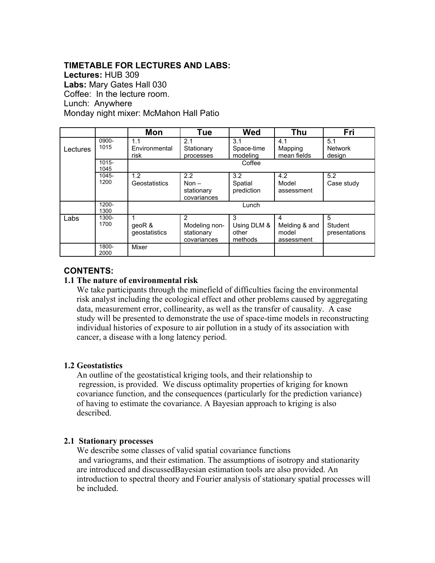## **TIMETABLE FOR LECTURES AND LABS:**

**Lectures:** HUB 309 **Labs:** Mary Gates Hall 030 Coffee: In the lecture room. Lunch: Anywhere Monday night mixer: McMahon Hall Patio

|          |                  | Mon                             | Tue                                                         | <b>Wed</b>                           | <b>Thu</b>                                | Fri                             |
|----------|------------------|---------------------------------|-------------------------------------------------------------|--------------------------------------|-------------------------------------------|---------------------------------|
| Lectures | 0900-<br>1015    | 1.1<br>Environmental<br>risk    | 2.1<br>Stationary<br>processes                              | 3.1<br>Space-time<br>modeling        | 4.1<br>Mapping<br>mean fields             | 5.1<br><b>Network</b><br>design |
|          | $1015 -$<br>1045 | Coffee                          |                                                             |                                      |                                           |                                 |
|          | $1045 -$<br>1200 | 1.2<br>Geostatistics            | 2.2<br>Non $-$<br>stationary<br>covariances                 | 3.2<br>Spatial<br>prediction         | 4.2<br>Model<br>assessment                | 5.2<br>Case study               |
|          | 1200-<br>1300    | Lunch                           |                                                             |                                      |                                           |                                 |
| Labs     | 1300-<br>1700    | 1<br>geoR $\&$<br>geostatistics | $\mathcal{P}$<br>Modeling non-<br>stationary<br>covariances | 3<br>Using DLM &<br>other<br>methods | 4<br>Melding & and<br>model<br>assessment | 5<br>Student<br>presentations   |
|          | 1800-<br>2000    | Mixer                           |                                                             |                                      |                                           |                                 |

### **CONTENTS:**

#### **1.1 The nature of environmental risk**

We take participants through the minefield of difficulties facing the environmental risk analyst including the ecological effect and other problems caused by aggregating data, measurement error, collinearity, as well as the transfer of causality. A case study will be presented to demonstrate the use of space-time models in reconstructing individual histories of exposure to air pollution in a study of its association with cancer, a disease with a long latency period.

#### **1.2 Geostatistics**

An outline of the geostatistical kriging tools, and their relationship to regression, is provided. We discuss optimality properties of kriging for known covariance function, and the consequences (particularly for the prediction variance) of having to estimate the covariance. A Bayesian approach to kriging is also described.

#### **2.1 Stationary processes**

We describe some classes of valid spatial covariance functions and variograms, and their estimation. The assumptions of isotropy and stationarity are introduced and discussedBayesian estimation tools are also provided. An introduction to spectral theory and Fourier analysis of stationary spatial processes will be included.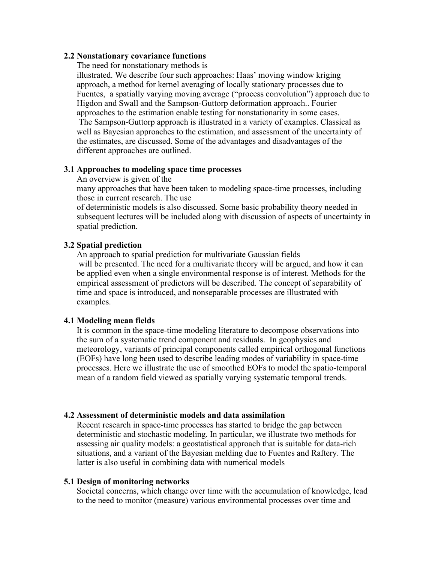#### **2.2 Nonstationary covariance functions**

The need for nonstationary methods is

illustrated. We describe four such approaches: Haas' moving window kriging approach, a method for kernel averaging of locally stationary processes due to Fuentes, a spatially varying moving average ("process convolution") approach due to Higdon and Swall and the Sampson-Guttorp deformation approach.. Fourier approaches to the estimation enable testing for nonstationarity in some cases. The Sampson-Guttorp approach is illustrated in a variety of examples. Classical as well as Bayesian approaches to the estimation, and assessment of the uncertainty of the estimates, are discussed. Some of the advantages and disadvantages of the different approaches are outlined.

#### **3.1 Approaches to modeling space time processes**

An overview is given of the

many approaches that have been taken to modeling space-time processes, including those in current research. The use

of deterministic models is also discussed. Some basic probability theory needed in subsequent lectures will be included along with discussion of aspects of uncertainty in spatial prediction.

#### **3.2 Spatial prediction**

An approach to spatial prediction for multivariate Gaussian fields will be presented. The need for a multivariate theory will be argued, and how it can be applied even when a single environmental response is of interest. Methods for the empirical assessment of predictors will be described. The concept of separability of time and space is introduced, and nonseparable processes are illustrated with examples.

#### **4.1 Modeling mean fields**

It is common in the space-time modeling literature to decompose observations into the sum of a systematic trend component and residuals. In geophysics and meteorology, variants of principal components called empirical orthogonal functions (EOFs) have long been used to describe leading modes of variability in space-time processes. Here we illustrate the use of smoothed EOFs to model the spatio-temporal mean of a random field viewed as spatially varying systematic temporal trends.

#### **4.2 Assessment of deterministic models and data assimilation**

Recent research in space-time processes has started to bridge the gap between deterministic and stochastic modeling. In particular, we illustrate two methods for assessing air quality models: a geostatistical approach that is suitable for data-rich situations, and a variant of the Bayesian melding due to Fuentes and Raftery. The latter is also useful in combining data with numerical models

#### **5.1 Design of monitoring networks**

Societal concerns, which change over time with the accumulation of knowledge, lead to the need to monitor (measure) various environmental processes over time and